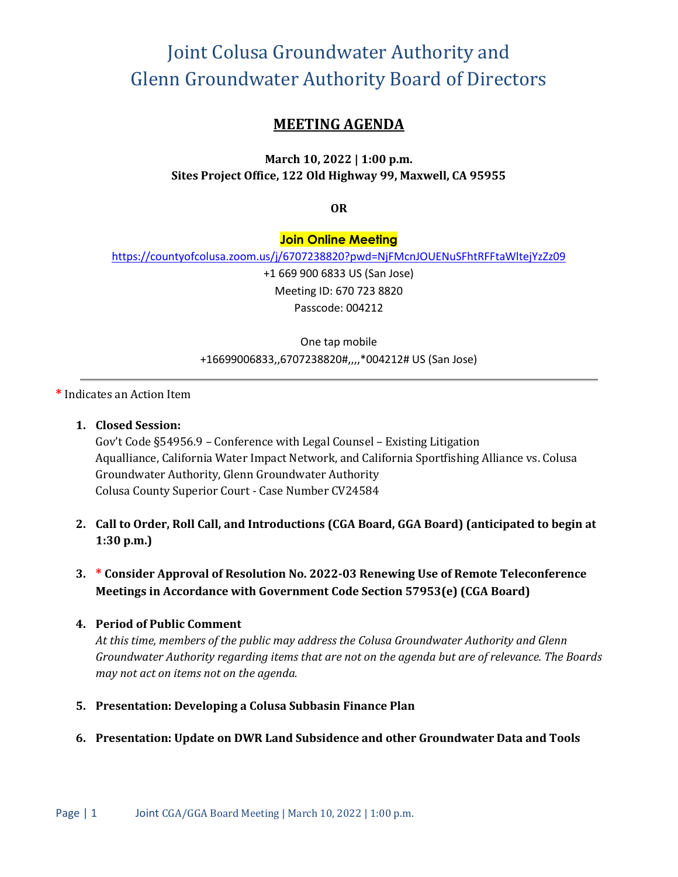# Joint Colusa Groundwater Authority and Glenn Groundwater Authority Board of Directors

## **MEETING AGENDA**

### **March 10, 2022 | 1:00 p.m. Sites Project Office, 122 Old Highway 99, Maxwell, CA 95955**

**OR**

#### **Join Online Meeting**

<https://countyofcolusa.zoom.us/j/6707238820?pwd=NjFMcnJOUENuSFhtRFFtaWltejYzZz09>

+1 669 900 6833 US (San Jose) Meeting ID: 670 723 8820 Passcode: 004212

One tap mobile +16699006833,,6707238820#,,,,\*004212# US (San Jose)

**\*** Indicates an Action Item

**1. Closed Session:** 

Gov't Code §54956.9 – Conference with Legal Counsel – Existing Litigation Aqualliance, California Water Impact Network, and California Sportfishing Alliance vs. Colusa Groundwater Authority, Glenn Groundwater Authority Colusa County Superior Court - Case Number CV24584

- **2. Call to Order, Roll Call, and Introductions (CGA Board, GGA Board) (anticipated to begin at 1:30 p.m.)**
- **3. \* Consider Approval of Resolution No. 2022-03 Renewing Use of Remote Teleconference Meetings in Accordance with Government Code Section 57953(e) (CGA Board)**

#### **4. Period of Public Comment**

*At this time, members of the public may address the Colusa Groundwater Authority and Glenn Groundwater Authority regarding items that are not on the agenda but are of relevance. The Boards may not act on items not on the agenda.*

- **5. Presentation: Developing a Colusa Subbasin Finance Plan**
- **6. Presentation: Update on DWR Land Subsidence and other Groundwater Data and Tools**